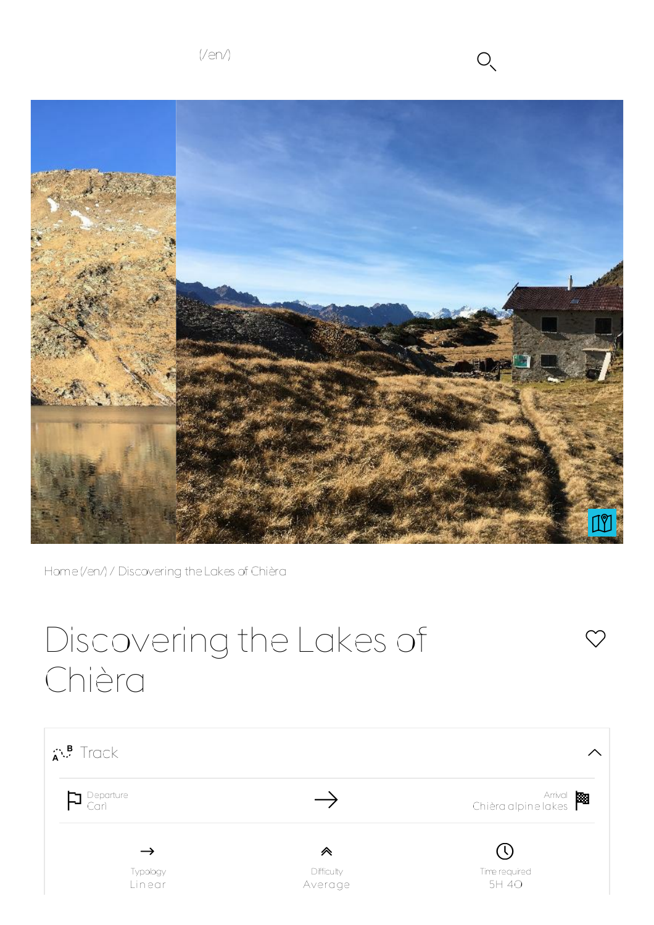

 $\heartsuit$ 



Home(/en/) / Discovering theLakes of Chièra

# Discovering the Lakes of Chièra

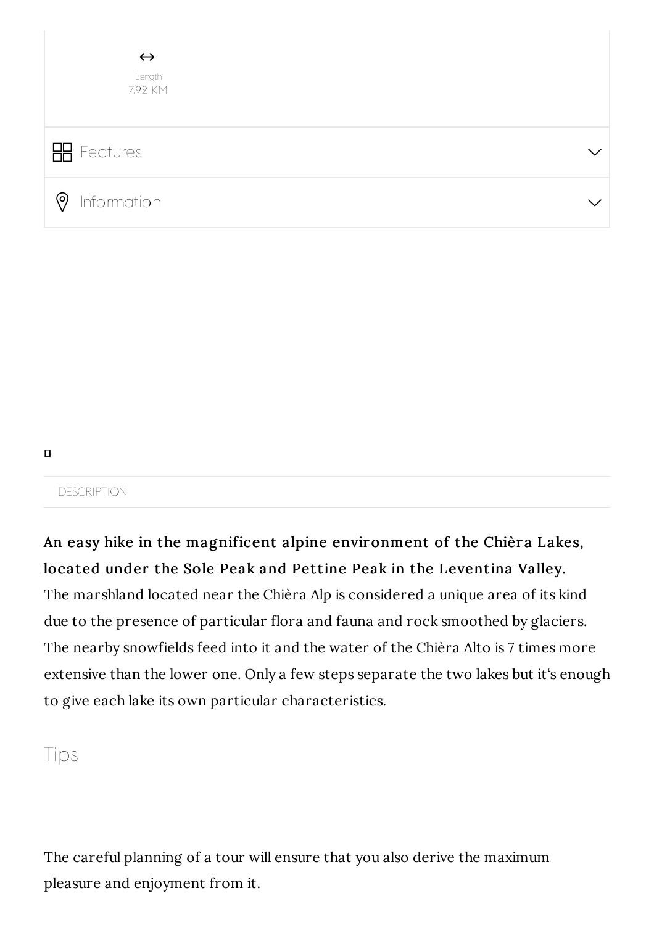

```
\Box
```
**DESCRIPTION** 

An easy hike in the magnificent alpine environment of the Chièra Lakes, located under the Sole Peak and Pettine Peak in the Leventina Valley. The marshland located near the Chièra Alp is considered a unique area of its kind due to the presence of particular flora and fauna and rock smoothed by glaciers. The nearby snowfields feed into it and the water of the Chièra Alto is 7 times more extensive than the lower one. Only a few steps separate the two lakes but it's enough to give each lake its own particular characteristics.

Tips

The careful planning of a tour will ensure that you also derive the maximum pleasure and enjoyment from it.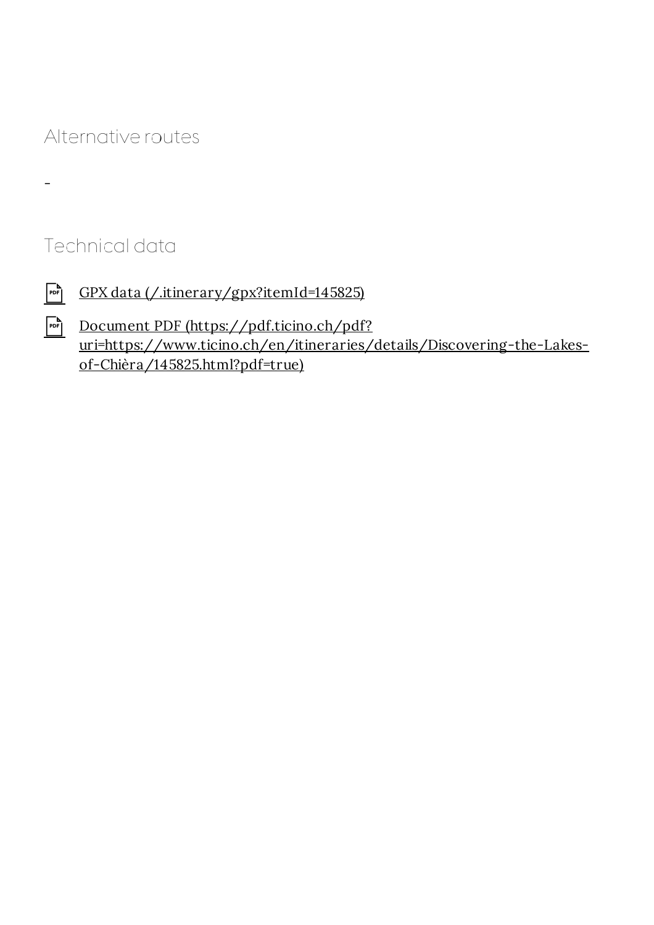## Alternative routes

### Technical data

 $\overline{\phantom{0}}$ 

- GPX data (*/.itinerary/gpx?itemId=145825*)
- Document PDF (https://pdf.ticino.ch/pdf? uri=https://www.ticino.ch/en/itineraries/details/Discovering-the-Lakesof-Chièra/145825.html?pdf=true)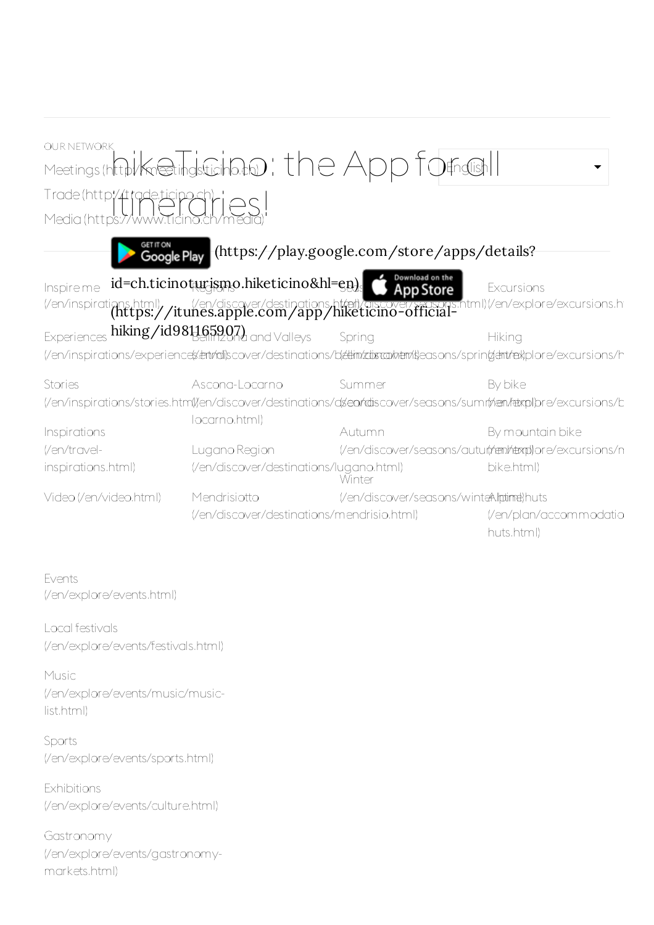| <b>OUR NETWORK</b>                                                                                                      |                                            |                                         |                                                                                                                                                                                    |  |  |  |  |
|-------------------------------------------------------------------------------------------------------------------------|--------------------------------------------|-----------------------------------------|------------------------------------------------------------------------------------------------------------------------------------------------------------------------------------|--|--|--|--|
| Meetings (http://kneetings.ticiho.to): the App formalish                                                                |                                            |                                         |                                                                                                                                                                                    |  |  |  |  |
|                                                                                                                         |                                            |                                         |                                                                                                                                                                                    |  |  |  |  |
| Trade(http://trade.ticino.ch/<br>Media(https://www.ticino.ch/me                                                         |                                            |                                         |                                                                                                                                                                                    |  |  |  |  |
| <sup>GET IT ON</sup><br><b>Google Play</b><br>(https://play.google.com/store/apps/details?                              |                                            |                                         |                                                                                                                                                                                    |  |  |  |  |
| Inspireme                                                                                                               | id=ch.ticinoturismo.hiketicino&hl=en)      | Download on the<br>App Store            | Excursions<br>(/en/inspirations.html) / it u/en/discover/destinations.ht/ail/aiscover/seasons.html)(/en/explore/excursions.h<br>(https://itunes.apple.com/app/hiketicino-official- |  |  |  |  |
| Experiences hiking/id981165907) and Valleys                                                                             |                                            | Spring                                  | Hiking                                                                                                                                                                             |  |  |  |  |
| (/en/inspirations/experience(x/entrial)scover/destinations/b(edim/zdistraphem/s)easons/sprin(dentrex)plore/excursions/h |                                            |                                         |                                                                                                                                                                                    |  |  |  |  |
| Stories                                                                                                                 | Ascona-Locarno                             | Summer                                  | By bike                                                                                                                                                                            |  |  |  |  |
| (/en/inspirations/stories.htm()/en/discover/destinations/ds/en/rdiscover/seasons/sumr(n/en/tetxpl)pre/excursions/b      |                                            |                                         |                                                                                                                                                                                    |  |  |  |  |
| Inspirations                                                                                                            | locarno.html)                              | Autumn                                  | By mountain bike                                                                                                                                                                   |  |  |  |  |
| (/en/travel-                                                                                                            | Lugano Region                              |                                         | (/en/discover/seasons/auturt/rem/dexpl)ore/excursions/n                                                                                                                            |  |  |  |  |
| inspirations.html)                                                                                                      | (/en/discover/destinations/lugano.html)    | Winter                                  | bike.html)                                                                                                                                                                         |  |  |  |  |
| Video (/en/video.html)                                                                                                  | Mendrisiotto                               | (/en/discover/seasons/winteAlptime)huts |                                                                                                                                                                                    |  |  |  |  |
|                                                                                                                         | (/en/discover/destinations/mendrisio.html) |                                         | (/en/plan/accommodatio                                                                                                                                                             |  |  |  |  |
|                                                                                                                         |                                            |                                         | huts.html)                                                                                                                                                                         |  |  |  |  |
|                                                                                                                         |                                            |                                         |                                                                                                                                                                                    |  |  |  |  |
| Events<br>(/en/explore/events.html)                                                                                     |                                            |                                         |                                                                                                                                                                                    |  |  |  |  |

Local festivals (/en/explore/events/festivals.html)

Music (/en/explore/events/music/musiclist.html)

Sports (/en/explore/events/sports.html)

**Exhibitions** (/en/explore/events/culture.html)

Gastronomy (/en/explore/events/gastronomymarkets.html)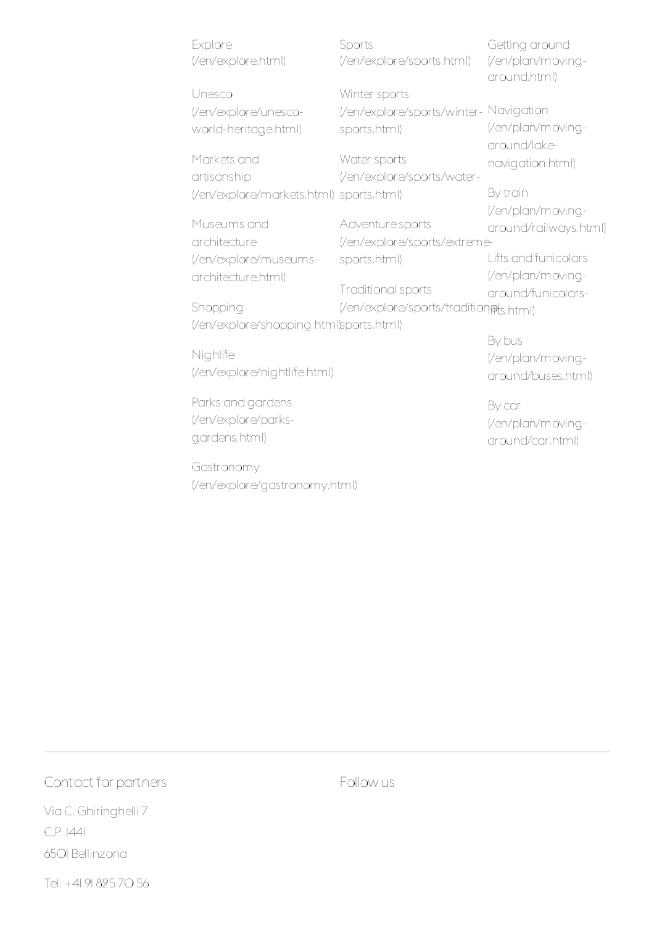| Explore<br>(/en/explore.html)            | Sports<br>(/en/explore/sports.html)    | Getting around<br>(/en/plan/moving-<br>around.html) |  |  |
|------------------------------------------|----------------------------------------|-----------------------------------------------------|--|--|
| Unesco                                   | Winter sports                          |                                                     |  |  |
| (/en/explore/unesco-                     | (/en/explore/sports/winter- Navigation |                                                     |  |  |
| world-heritage.html)                     | sports.html)                           | (/en/plan/moving-<br>around/lake-                   |  |  |
| Markets and                              | Water sports                           | navigation.html)                                    |  |  |
| artisanship                              | (/en/explore/sports/water-             |                                                     |  |  |
| (/en/explore/markets.html) sports.html)  |                                        | By train                                            |  |  |
|                                          |                                        | (/en/plan/moving-                                   |  |  |
| Museums and                              | Adventure sports                       | around/railways.html)                               |  |  |
| architecture                             | (/en/explore/sports/extreme-           |                                                     |  |  |
| (/en/explore/museums-                    | sports.html)                           | Lifts and funicolars                                |  |  |
| architecture.html)                       |                                        | (/en/plan/moving-                                   |  |  |
|                                          | Traditional sports                     | around/funicolars-                                  |  |  |
| Shopping                                 | (/en/explore/sports/tradition@ts.html) |                                                     |  |  |
| (/en/explore/shopping.html)sports.html)  |                                        |                                                     |  |  |
| Nighlife<br>(/en/explore/nightlife.html) |                                        | By bus<br>(/en/plan/moving-<br>around/buses.html)   |  |  |
| Parks and gardens                        |                                        | By car                                              |  |  |

(/en/explore/parksgardens.html)

Gastronomy (/en/explore/gastronomy.html)

By car (/en/plan/movingaround/car.html)

#### Contact for partners

Via C. Ghiringhelli 7 C.P. 1441 6501 Bellinzona

Follow us

Tel. +41 91 825 70 56